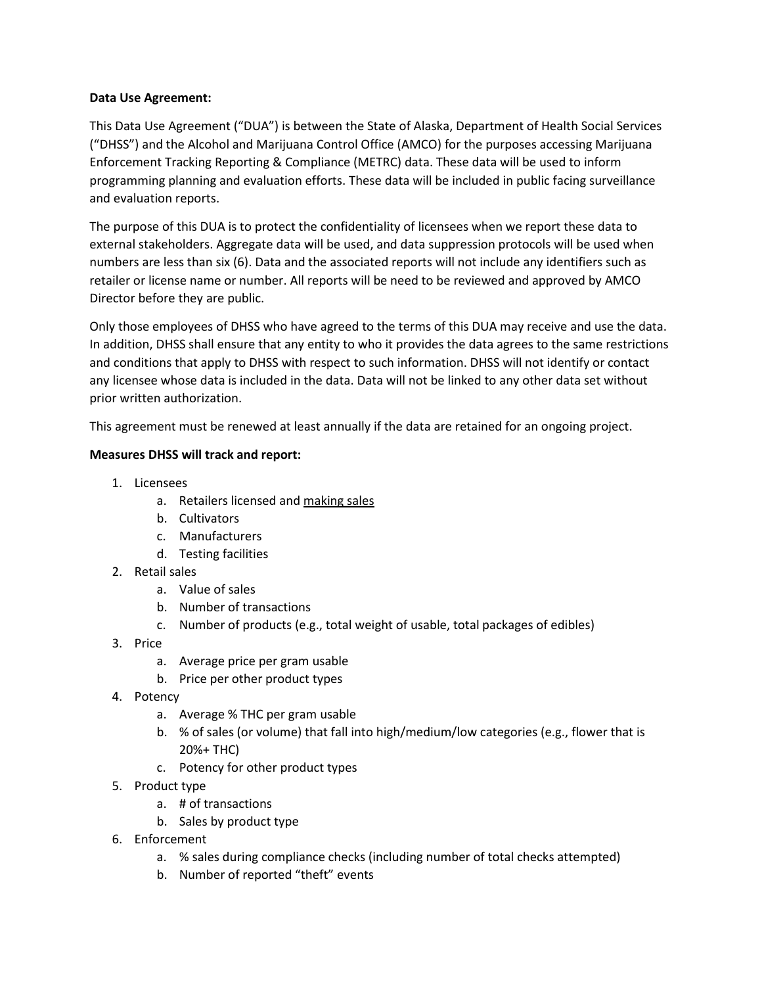## **Data Use Agreement:**

This Data Use Agreement ("DUA") is between the State of Alaska, Department of Health Social Services ("DHSS") and the Alcohol and Marijuana Control Office (AMCO) for the purposes accessing Marijuana Enforcement Tracking Reporting & Compliance (METRC) data. These data will be used to inform programming planning and evaluation efforts. These data will be included in public facing surveillance and evaluation reports.

The purpose of this DUA is to protect the confidentiality of licensees when we report these data to external stakeholders. Aggregate data will be used, and data suppression protocols will be used when numbers are less than six (6). Data and the associated reports will not include any identifiers such as retailer or license name or number. All reports will be need to be reviewed and approved by AMCO Director before they are public.

Only those employees of DHSS who have agreed to the terms of this DUA may receive and use the data. In addition, DHSS shall ensure that any entity to who it provides the data agrees to the same restrictions and conditions that apply to DHSS with respect to such information. DHSS will not identify or contact any licensee whose data is included in the data. Data will not be linked to any other data set without prior written authorization.

This agreement must be renewed at least annually if the data are retained for an ongoing project.

## **Measures DHSS will track and report:**

- 1. Licensees
	- a. Retailers licensed and making sales
	- b. Cultivators
	- c. Manufacturers
	- d. Testing facilities
- 2. Retail sales
	- a. Value of sales
	- b. Number of transactions
	- c. Number of products (e.g., total weight of usable, total packages of edibles)
- 3. Price
	- a. Average price per gram usable
	- b. Price per other product types
- 4. Potency
	- a. Average % THC per gram usable
	- b. % of sales (or volume) that fall into high/medium/low categories (e.g., flower that is 20%+ THC)
	- c. Potency for other product types
- 5. Product type
	- a. # of transactions
	- b. Sales by product type
- 6. Enforcement
	- a. % sales during compliance checks (including number of total checks attempted)
	- b. Number of reported "theft" events